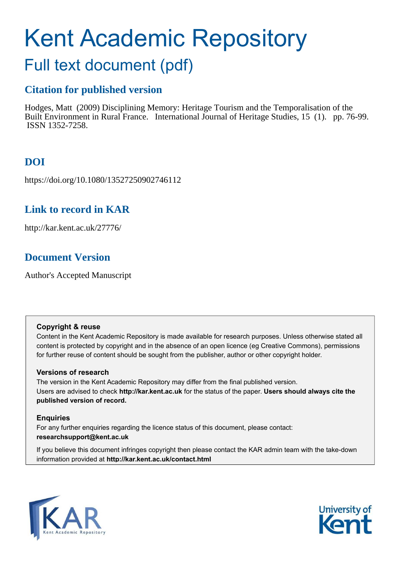# Kent Academic Repository

## Full text document (pdf)

## **Citation for published version**

Hodges, Matt (2009) Disciplining Memory: Heritage Tourism and the Temporalisation of the Built Environment in Rural France. International Journal of Heritage Studies, 15 (1). pp. 76-99. ISSN 1352-7258.

## **DOI**

https://doi.org/10.1080/13527250902746112

## **Link to record in KAR**

http://kar.kent.ac.uk/27776/

## **Document Version**

Author's Accepted Manuscript

#### **Copyright & reuse**

Content in the Kent Academic Repository is made available for research purposes. Unless otherwise stated all content is protected by copyright and in the absence of an open licence (eg Creative Commons), permissions for further reuse of content should be sought from the publisher, author or other copyright holder.

#### **Versions of research**

The version in the Kent Academic Repository may differ from the final published version. Users are advised to check **http://kar.kent.ac.uk** for the status of the paper. **Users should always cite the published version of record.**

#### **Enquiries**

For any further enquiries regarding the licence status of this document, please contact: **researchsupport@kent.ac.uk**

If you believe this document infringes copyright then please contact the KAR admin team with the take-down information provided at **http://kar.kent.ac.uk/contact.html**



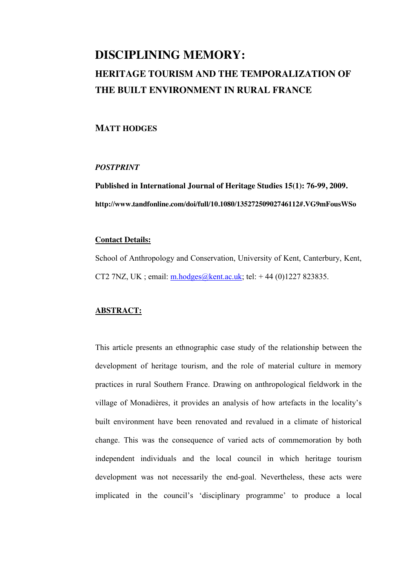## **DISCIPLINING MEMORY: HERITAGE TOURISM AND THE TEMPORALIZATION OF THE BUILT ENVIRONMENT IN RURAL FRANCE**

#### **MATT HODGES**

#### *POSTPRINT*

**Published in International Journal of Heritage Studies 15(1): 76-99, 2009. http://www.tandfonline.com/doi/full/10.1080/13527250902746112#.VG9mFousWSo** 

#### **Contact Details:**

School of Anthropology and Conservation, University of Kent, Canterbury, Kent, CT2 7NZ, UK : email: [m.hodges@kent.ac.uk;](mailto:m.hodges@kent.ac.uk) tel:  $+ 44 (0)1227 823835$ .

#### **ABSTRACT:**

This article presents an ethnographic case study of the relationship between the development of heritage tourism, and the role of material culture in memory practices in rural Southern France. Drawing on anthropological fieldwork in the village of Monadières, it provides an analysis of how artefacts in the locality's built environment have been renovated and revalued in a climate of historical change. This was the consequence of varied acts of commemoration by both independent individuals and the local council in which heritage tourism development was not necessarily the end-goal. Nevertheless, these acts were implicated in the council's 'disciplinary programme' to produce a local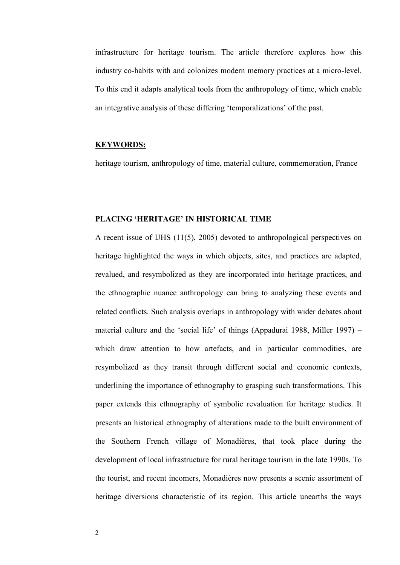infrastructure for heritage tourism. The article therefore explores how this industry co-habits with and colonizes modern memory practices at a micro-level. To this end it adapts analytical tools from the anthropology of time, which enable an integrative analysis of these differing 'temporalizations' of the past.

#### **KEYWORDS:**

heritage tourism, anthropology of time, material culture, commemoration, France

#### **PLACING 'HERITAGE' IN HISTORICAL TIME**

A recent issue of IJHS (11(5), 2005) devoted to anthropological perspectives on heritage highlighted the ways in which objects, sites, and practices are adapted, revalued, and resymbolized as they are incorporated into heritage practices, and the ethnographic nuance anthropology can bring to analyzing these events and related conflicts. Such analysis overlaps in anthropology with wider debates about material culture and the 'social life' of things (Appadurai 1988, Miller 1997) – which draw attention to how artefacts, and in particular commodities, are resymbolized as they transit through different social and economic contexts, underlining the importance of ethnography to grasping such transformations. This paper extends this ethnography of symbolic revaluation for heritage studies. It presents an historical ethnography of alterations made to the built environment of the Southern French village of Monadières, that took place during the development of local infrastructure for rural heritage tourism in the late 1990s. To the tourist, and recent incomers, Monadières now presents a scenic assortment of heritage diversions characteristic of its region. This article unearths the ways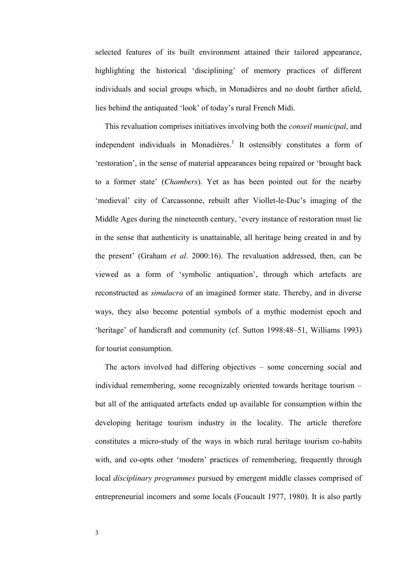selected features of its built environment attained their tailored appearance, highlighting the historical 'disciplining' of memory practices of different individuals and social groups which, in Monadières and no doubt farther afield, lies behind the antiquated 'look' of today's rural French Midi.

 This revaluation comprises initiatives involving both the *conseil municipal*, and independent individuals in Monadières.<sup>1</sup> It ostensibly constitutes a form of 'restoration', in the sense of material appearances being repaired or 'brought back to a former state' (*Chambers*). Yet as has been pointed out for the nearby 'medieval' city of Carcassonne, rebuilt after Viollet-le-Duc's imaging of the Middle Ages during the nineteenth century, 'every instance of restoration must lie in the sense that authenticity is unattainable, all heritage being created in and by the present' (Graham *et al*. 2000:16). The revaluation addressed, then, can be viewed as a form of 'symbolic antiquation', through which artefacts are reconstructed as *simulacra* of an imagined former state. Thereby, and in diverse ways, they also become potential symbols of a mythic modernist epoch and 'heritage' of handicraft and community (cf. Sutton 1998:48–51, Williams 1993) for tourist consumption.

 The actors involved had differing objectives – some concerning social and individual remembering, some recognizably oriented towards heritage tourism – but all of the antiquated artefacts ended up available for consumption within the developing heritage tourism industry in the locality. The article therefore constitutes a micro-study of the ways in which rural heritage tourism co-habits with, and co-opts other 'modern' practices of remembering, frequently through local *disciplinary programmes* pursued by emergent middle classes comprised of entrepreneurial incomers and some locals (Foucault 1977, 1980). It is also partly

3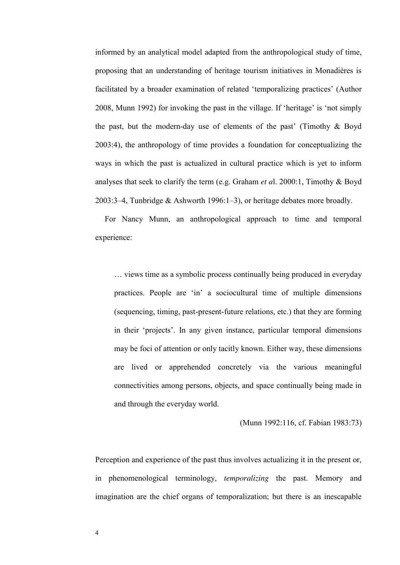informed by an analytical model adapted from the anthropological study of time, proposing that an understanding of heritage tourism initiatives in Monadières is facilitated by a broader examination of related 'temporalizing practices' (Author 2008, Munn 1992) for invoking the past in the village. If 'heritage' is 'not simply the past, but the modern-day use of elements of the past' (Timothy  $\&$  Boyd 2003:4), the anthropology of time provides a foundation for conceptualizing the ways in which the past is actualized in cultural practice which is yet to inform analyses that seek to clarify the term (e.g. Graham *et a*l. 2000:1, Timothy & Boyd 2003:3–4, Tunbridge & Ashworth 1996:1–3), or heritage debates more broadly.

 For Nancy Munn, an anthropological approach to time and temporal experience:

… views time as a symbolic process continually being produced in everyday practices. People are 'in' a sociocultural time of multiple dimensions (sequencing, timing, past-present-future relations, etc.) that they are forming in their 'projects'. In any given instance, particular temporal dimensions may be foci of attention or only tacitly known. Either way, these dimensions are lived or apprehended concretely via the various meaningful connectivities among persons, objects, and space continually being made in and through the everyday world.

(Munn 1992:116, cf. Fabian 1983:73)

Perception and experience of the past thus involves actualizing it in the present or, in phenomenological terminology, *temporalizing* the past. Memory and imagination are the chief organs of temporalization; but there is an inescapable

4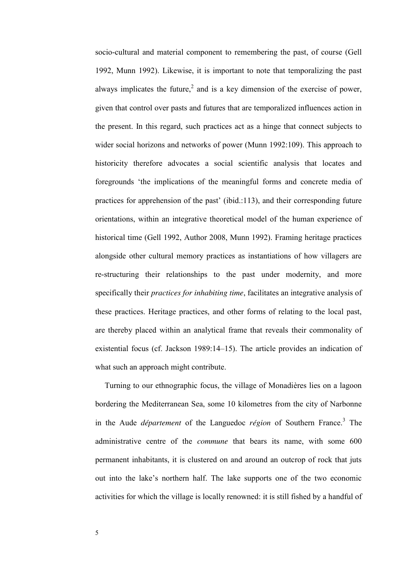socio-cultural and material component to remembering the past, of course (Gell 1992, Munn 1992). Likewise, it is important to note that temporalizing the past always implicates the future,<sup>2</sup> and is a key dimension of the exercise of power, given that control over pasts and futures that are temporalized influences action in the present. In this regard, such practices act as a hinge that connect subjects to wider social horizons and networks of power (Munn 1992:109). This approach to historicity therefore advocates a social scientific analysis that locates and foregrounds 'the implications of the meaningful forms and concrete media of practices for apprehension of the past' (ibid.:113), and their corresponding future orientations, within an integrative theoretical model of the human experience of historical time (Gell 1992, Author 2008, Munn 1992). Framing heritage practices alongside other cultural memory practices as instantiations of how villagers are re-structuring their relationships to the past under modernity, and more specifically their *practices for inhabiting time*, facilitates an integrative analysis of these practices. Heritage practices, and other forms of relating to the local past, are thereby placed within an analytical frame that reveals their commonality of existential focus (cf. Jackson 1989:14–15). The article provides an indication of what such an approach might contribute.

 Turning to our ethnographic focus, the village of Monadières lies on a lagoon bordering the Mediterranean Sea, some 10 kilometres from the city of Narbonne in the Aude *département* of the Languedoc *région* of Southern France.<sup>3</sup> The administrative centre of the *commune* that bears its name, with some 600 permanent inhabitants, it is clustered on and around an outcrop of rock that juts out into the lake's northern half. The lake supports one of the two economic activities for which the village is locally renowned: it is still fished by a handful of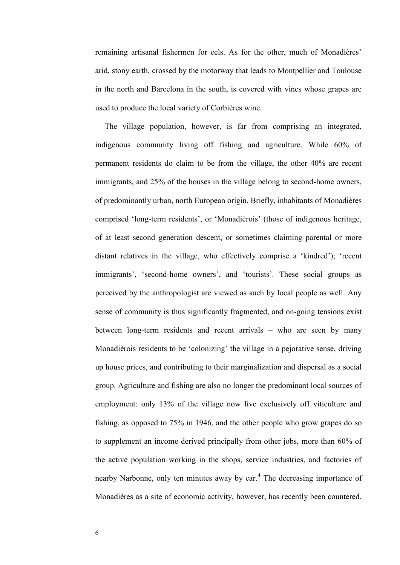remaining artisanal fishermen for eels. As for the other, much of Monadières' arid, stony earth, crossed by the motorway that leads to Montpellier and Toulouse in the north and Barcelona in the south, is covered with vines whose grapes are used to produce the local variety of Corbières wine.

 The village population, however, is far from comprising an integrated, indigenous community living off fishing and agriculture. While 60% of permanent residents do claim to be from the village, the other 40% are recent immigrants, and 25% of the houses in the village belong to second-home owners, of predominantly urban, north European origin. Briefly, inhabitants of Monadières comprised 'long-term residents', or 'Monadièrois' (those of indigenous heritage, of at least second generation descent, or sometimes claiming parental or more distant relatives in the village, who effectively comprise a 'kindred'); 'recent immigrants', 'second-home owners', and 'tourists'. These social groups as perceived by the anthropologist are viewed as such by local people as well. Any sense of community is thus significantly fragmented, and on-going tensions exist between long-term residents and recent arrivals – who are seen by many Monadièrois residents to be 'colonizing' the village in a pejorative sense, driving up house prices, and contributing to their marginalization and dispersal as a social group. Agriculture and fishing are also no longer the predominant local sources of employment: only 13% of the village now live exclusively off viticulture and fishing, as opposed to 75% in 1946, and the other people who grow grapes do so to supplement an income derived principally from other jobs, more than 60% of the active population working in the shops, service industries, and factories of nearby Narbonne, only ten minutes away by car.<sup>4</sup> The decreasing importance of Monadières as a site of economic activity, however, has recently been countered.

6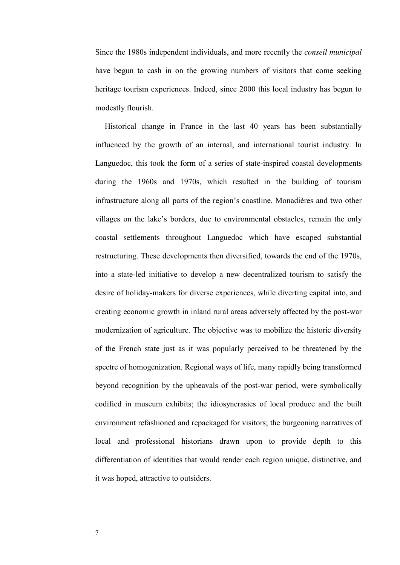Since the 1980s independent individuals, and more recently the *conseil municipal* have begun to cash in on the growing numbers of visitors that come seeking heritage tourism experiences. Indeed, since 2000 this local industry has begun to modestly flourish.

 Historical change in France in the last 40 years has been substantially influenced by the growth of an internal, and international tourist industry. In Languedoc, this took the form of a series of state-inspired coastal developments during the 1960s and 1970s, which resulted in the building of tourism infrastructure along all parts of the region's coastline. Monadières and two other villages on the lake's borders, due to environmental obstacles, remain the only coastal settlements throughout Languedoc which have escaped substantial restructuring. These developments then diversified, towards the end of the 1970s, into a state-led initiative to develop a new decentralized tourism to satisfy the desire of holiday-makers for diverse experiences, while diverting capital into, and creating economic growth in inland rural areas adversely affected by the post-war modernization of agriculture. The objective was to mobilize the historic diversity of the French state just as it was popularly perceived to be threatened by the spectre of homogenization. Regional ways of life, many rapidly being transformed beyond recognition by the upheavals of the post-war period, were symbolically codified in museum exhibits; the idiosyncrasies of local produce and the built environment refashioned and repackaged for visitors; the burgeoning narratives of local and professional historians drawn upon to provide depth to this differentiation of identities that would render each region unique, distinctive, and it was hoped, attractive to outsiders.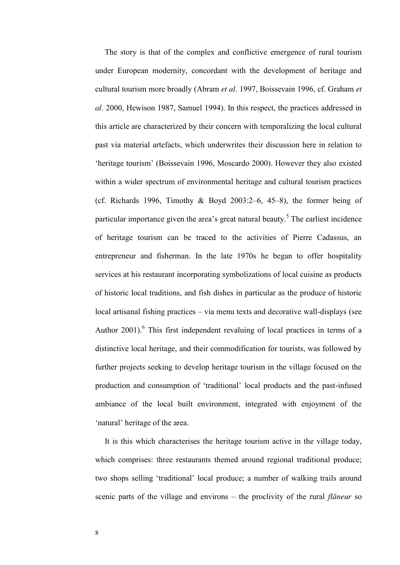The story is that of the complex and conflictive emergence of rural tourism under European modernity, concordant with the development of heritage and cultural tourism more broadly (Abram *et al*. 1997, Boissevain 1996, cf. Graham *et al*. 2000, Hewison 1987, Samuel 1994). In this respect, the practices addressed in this article are characterized by their concern with temporalizing the local cultural past via material artefacts, which underwrites their discussion here in relation to 'heritage tourism' (Boissevain 1996, Moscardo 2000). However they also existed within a wider spectrum of environmental heritage and cultural tourism practices (cf. Richards 1996, Timothy & Boyd 2003:2–6, 45–8), the former being of particular importance given the area's great natural beauty.<sup>5</sup> The earliest incidence of heritage tourism can be traced to the activities of Pierre Cadassus, an entrepreneur and fisherman. In the late 1970s he began to offer hospitality services at his restaurant incorporating symbolizations of local cuisine as products of historic local traditions, and fish dishes in particular as the produce of historic local artisanal fishing practices – via menu texts and decorative wall-displays (see Author 2001).<sup>6</sup> This first independent revaluing of local practices in terms of a distinctive local heritage, and their commodification for tourists, was followed by further projects seeking to develop heritage tourism in the village focused on the production and consumption of 'traditional' local products and the past-infused ambiance of the local built environment, integrated with enjoyment of the 'natural' heritage of the area.

 It is this which characterises the heritage tourism active in the village today, which comprises: three restaurants themed around regional traditional produce; two shops selling 'traditional' local produce; a number of walking trails around scenic parts of the village and environs – the proclivity of the rural *flâneur* so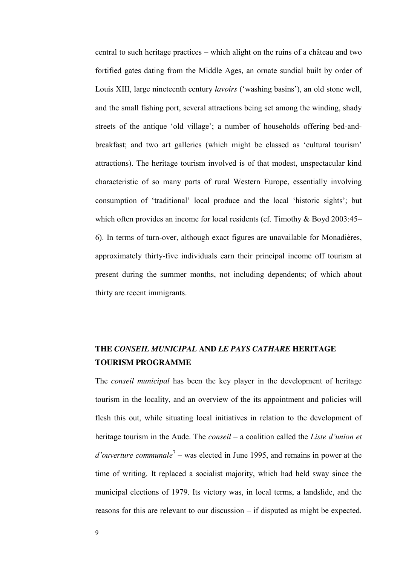central to such heritage practices – which alight on the ruins of a château and two fortified gates dating from the Middle Ages, an ornate sundial built by order of Louis XIII, large nineteenth century *lavoirs* ('washing basins'), an old stone well, and the small fishing port, several attractions being set among the winding, shady streets of the antique 'old village'; a number of households offering bed-andbreakfast; and two art galleries (which might be classed as 'cultural tourism' attractions). The heritage tourism involved is of that modest, unspectacular kind characteristic of so many parts of rural Western Europe, essentially involving consumption of 'traditional' local produce and the local 'historic sights'; but which often provides an income for local residents (cf. Timothy & Boyd 2003:45– 6). In terms of turn-over, although exact figures are unavailable for Monadières, approximately thirty-five individuals earn their principal income off tourism at present during the summer months, not including dependents; of which about thirty are recent immigrants.

## **THE** *CONSEIL MUNICIPAL* **AND** *LE PAYS CATHARE* **HERITAGE TOURISM PROGRAMME**

The *conseil municipal* has been the key player in the development of heritage tourism in the locality, and an overview of the its appointment and policies will flesh this out, while situating local initiatives in relation to the development of heritage tourism in the Aude. The *conseil* – a coalition called the *Liste d'union et*  d'ouverture communale<sup>7</sup> – was elected in June 1995, and remains in power at the time of writing. It replaced a socialist majority, which had held sway since the municipal elections of 1979. Its victory was, in local terms, a landslide, and the reasons for this are relevant to our discussion – if disputed as might be expected.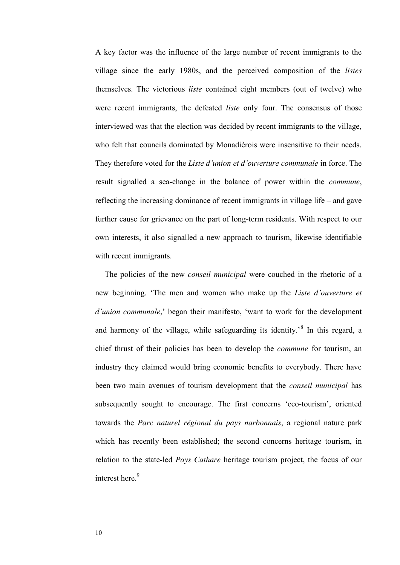A key factor was the influence of the large number of recent immigrants to the village since the early 1980s, and the perceived composition of the *listes* themselves. The victorious *liste* contained eight members (out of twelve) who were recent immigrants, the defeated *liste* only four. The consensus of those interviewed was that the election was decided by recent immigrants to the village, who felt that councils dominated by Monadièrois were insensitive to their needs. They therefore voted for the *Liste d'union et d'ouverture communale* in force. The result signalled a sea-change in the balance of power within the *commune*, reflecting the increasing dominance of recent immigrants in village life – and gave further cause for grievance on the part of long-term residents. With respect to our own interests, it also signalled a new approach to tourism, likewise identifiable with recent immigrants.

 The policies of the new *conseil municipal* were couched in the rhetoric of a new beginning. 'The men and women who make up the *Liste d'ouverture et d'union communale*,' began their manifesto, 'want to work for the development and harmony of the village, while safeguarding its identity.<sup>8</sup> In this regard, a chief thrust of their policies has been to develop the *commune* for tourism, an industry they claimed would bring economic benefits to everybody. There have been two main avenues of tourism development that the *conseil municipal* has subsequently sought to encourage. The first concerns 'eco-tourism', oriented towards the *Parc naturel régional du pays narbonnais*, a regional nature park which has recently been established; the second concerns heritage tourism, in relation to the state-led *Pays Cathare* heritage tourism project, the focus of our interest here.<sup>9</sup>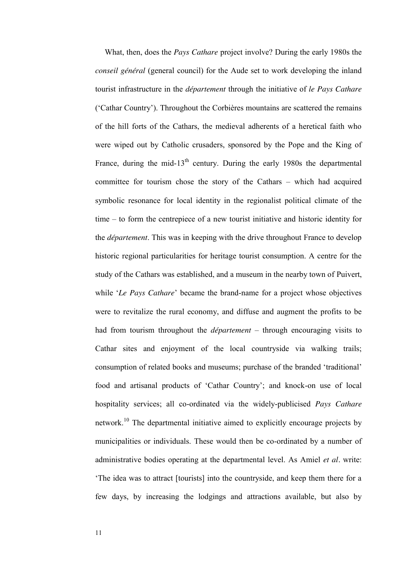What, then, does the *Pays Cathare* project involve? During the early 1980s the *conseil général* (general council) for the Aude set to work developing the inland tourist infrastructure in the *département* through the initiative of *le Pays Cathare* ('Cathar Country'). Throughout the Corbières mountains are scattered the remains of the hill forts of the Cathars, the medieval adherents of a heretical faith who were wiped out by Catholic crusaders, sponsored by the Pope and the King of France, during the mid-13<sup>th</sup> century. During the early 1980s the departmental committee for tourism chose the story of the Cathars – which had acquired symbolic resonance for local identity in the regionalist political climate of the time – to form the centrepiece of a new tourist initiative and historic identity for the *département*. This was in keeping with the drive throughout France to develop historic regional particularities for heritage tourist consumption. A centre for the study of the Cathars was established, and a museum in the nearby town of Puivert, while '*Le Pays Cathare*' became the brand-name for a project whose objectives were to revitalize the rural economy, and diffuse and augment the profits to be had from tourism throughout the *département* – through encouraging visits to Cathar sites and enjoyment of the local countryside via walking trails; consumption of related books and museums; purchase of the branded 'traditional' food and artisanal products of 'Cathar Country'; and knock-on use of local hospitality services; all co-ordinated via the widely-publicised *Pays Cathare* network.<sup>10</sup> The departmental initiative aimed to explicitly encourage projects by municipalities or individuals. These would then be co-ordinated by a number of administrative bodies operating at the departmental level. As Amiel *et al.* write: 'The idea was to attract [tourists] into the countryside, and keep them there for a few days, by increasing the lodgings and attractions available, but also by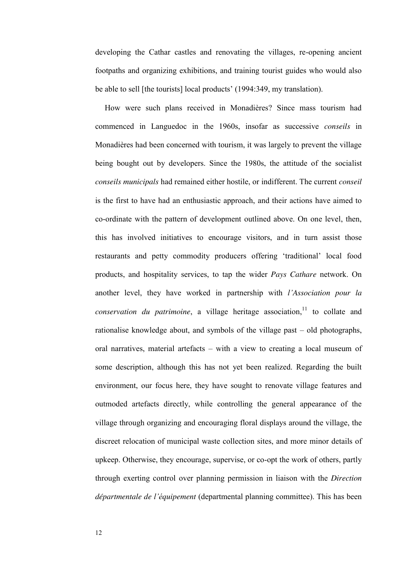developing the Cathar castles and renovating the villages, re-opening ancient footpaths and organizing exhibitions, and training tourist guides who would also be able to sell [the tourists] local products' (1994:349, my translation).

 How were such plans received in Monadières? Since mass tourism had commenced in Languedoc in the 1960s, insofar as successive *conseils* in Monadières had been concerned with tourism, it was largely to prevent the village being bought out by developers. Since the 1980s, the attitude of the socialist *conseils municipals* had remained either hostile, or indifferent. The current *conseil*  is the first to have had an enthusiastic approach, and their actions have aimed to co-ordinate with the pattern of development outlined above. On one level, then, this has involved initiatives to encourage visitors, and in turn assist those restaurants and petty commodity producers offering 'traditional' local food products, and hospitality services, to tap the wider *Pays Cathare* network. On another level, they have worked in partnership with *l'Association pour la conservation du patrimoine*, a village heritage association,<sup>11</sup> to collate and rationalise knowledge about, and symbols of the village past – old photographs, oral narratives, material artefacts – with a view to creating a local museum of some description, although this has not yet been realized. Regarding the built environment, our focus here, they have sought to renovate village features and outmoded artefacts directly, while controlling the general appearance of the village through organizing and encouraging floral displays around the village, the discreet relocation of municipal waste collection sites, and more minor details of upkeep. Otherwise, they encourage, supervise, or co-opt the work of others, partly through exerting control over planning permission in liaison with the *Direction départmentale de l'équipement* (departmental planning committee). This has been

12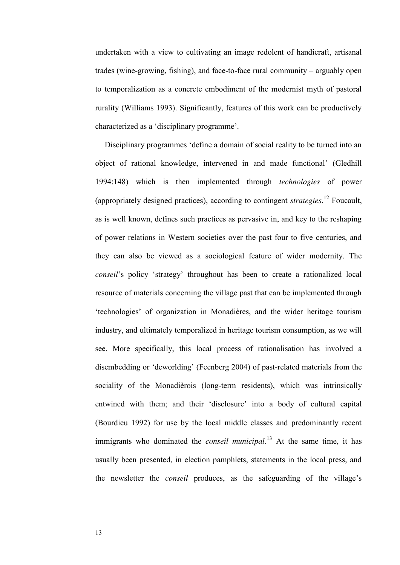undertaken with a view to cultivating an image redolent of handicraft, artisanal trades (wine-growing, fishing), and face-to-face rural community – arguably open to temporalization as a concrete embodiment of the modernist myth of pastoral rurality (Williams 1993). Significantly, features of this work can be productively characterized as a 'disciplinary programme'.

Disciplinary programmes 'define a domain of social reality to be turned into an object of rational knowledge, intervened in and made functional' (Gledhill 1994:148) which is then implemented through *technologies* of power (appropriately designed practices), according to contingent *strategies*. <sup>12</sup> Foucault, as is well known, defines such practices as pervasive in, and key to the reshaping of power relations in Western societies over the past four to five centuries, and they can also be viewed as a sociological feature of wider modernity. The *conseil*'s policy 'strategy' throughout has been to create a rationalized local resource of materials concerning the village past that can be implemented through 'technologies' of organization in Monadières, and the wider heritage tourism industry, and ultimately temporalized in heritage tourism consumption, as we will see. More specifically, this local process of rationalisation has involved a disembedding or 'deworlding' (Feenberg 2004) of past-related materials from the sociality of the Monadièrois (long-term residents), which was intrinsically entwined with them; and their 'disclosure' into a body of cultural capital (Bourdieu 1992) for use by the local middle classes and predominantly recent immigrants who dominated the *conseil municipal*. <sup>13</sup> At the same time, it has usually been presented, in election pamphlets, statements in the local press, and the newsletter the *conseil* produces, as the safeguarding of the village's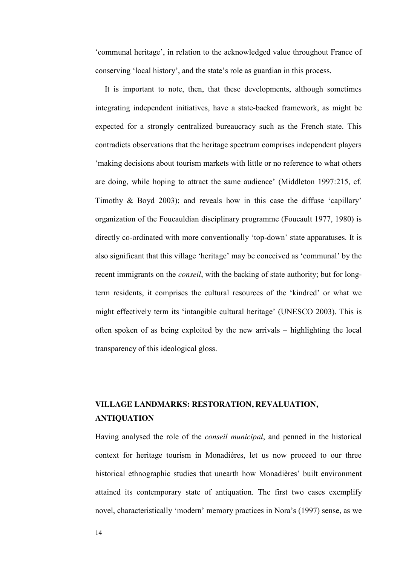'communal heritage', in relation to the acknowledged value throughout France of conserving 'local history', and the state's role as guardian in this process.

 It is important to note, then, that these developments, although sometimes integrating independent initiatives, have a state-backed framework, as might be expected for a strongly centralized bureaucracy such as the French state. This contradicts observations that the heritage spectrum comprises independent players 'making decisions about tourism markets with little or no reference to what others are doing, while hoping to attract the same audience' (Middleton 1997:215, cf. Timothy & Boyd 2003); and reveals how in this case the diffuse 'capillary' organization of the Foucauldian disciplinary programme (Foucault 1977, 1980) is directly co-ordinated with more conventionally 'top-down' state apparatuses. It is also significant that this village 'heritage' may be conceived as 'communal' by the recent immigrants on the *conseil*, with the backing of state authority; but for longterm residents, it comprises the cultural resources of the 'kindred' or what we might effectively term its 'intangible cultural heritage' (UNESCO 2003). This is often spoken of as being exploited by the new arrivals – highlighting the local transparency of this ideological gloss.

## **VILLAGE LANDMARKS: RESTORATION, REVALUATION, ANTIQUATION**

Having analysed the role of the *conseil municipal*, and penned in the historical context for heritage tourism in Monadières, let us now proceed to our three historical ethnographic studies that unearth how Monadières' built environment attained its contemporary state of antiquation. The first two cases exemplify novel, characteristically 'modern' memory practices in Nora's (1997) sense, as we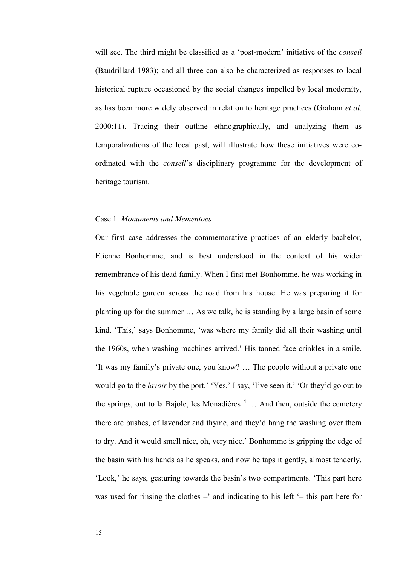will see. The third might be classified as a 'post-modern' initiative of the *conseil* (Baudrillard 1983); and all three can also be characterized as responses to local historical rupture occasioned by the social changes impelled by local modernity, as has been more widely observed in relation to heritage practices (Graham *et al*. 2000:11). Tracing their outline ethnographically, and analyzing them as temporalizations of the local past, will illustrate how these initiatives were coordinated with the *conseil*'s disciplinary programme for the development of heritage tourism.

#### Case 1: *Monuments and Mementoes*

Our first case addresses the commemorative practices of an elderly bachelor, Etienne Bonhomme, and is best understood in the context of his wider remembrance of his dead family. When I first met Bonhomme, he was working in his vegetable garden across the road from his house. He was preparing it for planting up for the summer … As we talk, he is standing by a large basin of some kind. 'This,' says Bonhomme, 'was where my family did all their washing until the 1960s, when washing machines arrived.' His tanned face crinkles in a smile. 'It was my family's private one, you know? … The people without a private one would go to the *lavoir* by the port.' 'Yes,' I say, 'I've seen it.' 'Or they'd go out to the springs, out to la Bajole, les Monadières<sup>14</sup> ... And then, outside the cemetery there are bushes, of lavender and thyme, and they'd hang the washing over them to dry. And it would smell nice, oh, very nice.' Bonhomme is gripping the edge of the basin with his hands as he speaks, and now he taps it gently, almost tenderly. 'Look,' he says, gesturing towards the basin's two compartments. 'This part here was used for rinsing the clothes –' and indicating to his left '– this part here for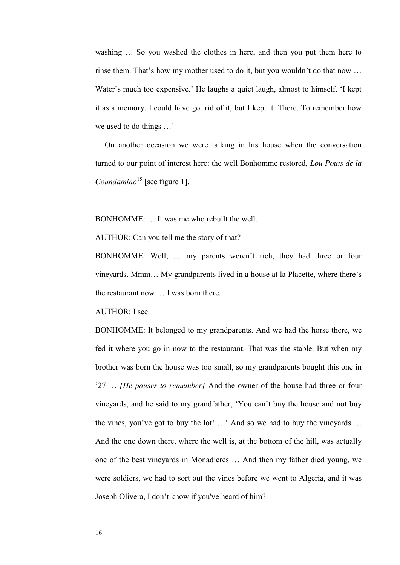washing ... So you washed the clothes in here, and then you put them here to rinse them. That's how my mother used to do it, but you wouldn't do that now … Water's much too expensive.' He laughs a quiet laugh, almost to himself. 'I kept it as a memory. I could have got rid of it, but I kept it. There. To remember how we used to do things …'

 On another occasion we were talking in his house when the conversation turned to our point of interest here: the well Bonhomme restored, *Lou Pouts de la Coundamino*<sup>15</sup> [see figure 1].

BONHOMME: … It was me who rebuilt the well.

AUTHOR: Can you tell me the story of that?

BONHOMME: Well, … my parents weren't rich, they had three or four vineyards. Mmm… My grandparents lived in a house at la Placette, where there's the restaurant now … I was born there.

AUTHOR: I see.

BONHOMME: It belonged to my grandparents. And we had the horse there, we fed it where you go in now to the restaurant. That was the stable. But when my brother was born the house was too small, so my grandparents bought this one in '27 … *[He pauses to remember]* And the owner of the house had three or four vineyards, and he said to my grandfather, 'You can't buy the house and not buy the vines, you've got to buy the lot! …' And so we had to buy the vineyards … And the one down there, where the well is, at the bottom of the hill, was actually one of the best vineyards in Monadières … And then my father died young, we were soldiers, we had to sort out the vines before we went to Algeria, and it was Joseph Olivera, I don't know if you've heard of him?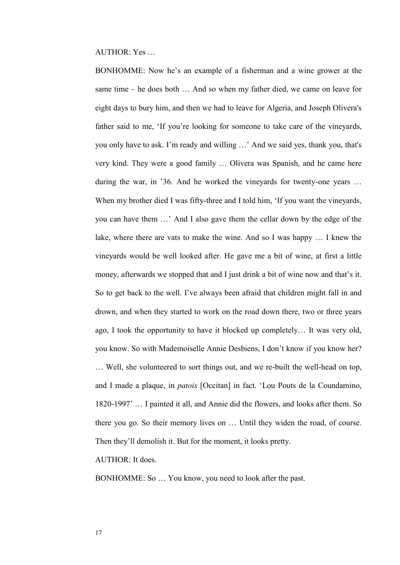AUTHOR: Yes …

BONHOMME: Now he's an example of a fisherman and a wine grower at the same time – he does both … And so when my father died, we came on leave for eight days to bury him, and then we had to leave for Algeria, and Joseph Olivera's father said to me, 'If you're looking for someone to take care of the vineyards, you only have to ask. I'm ready and willing …' And we said yes, thank you, that's very kind. They were a good family … Olivera was Spanish, and he came here during the war, in '36. And he worked the vineyards for twenty-one years ... When my brother died I was fifty-three and I told him, 'If you want the vineyards, you can have them …' And I also gave them the cellar down by the edge of the lake, where there are vats to make the wine. And so I was happy … I knew the vineyards would be well looked after. He gave me a bit of wine, at first a little money, afterwards we stopped that and I just drink a bit of wine now and that's it. So to get back to the well. I've always been afraid that children might fall in and drown, and when they started to work on the road down there, two or three years ago, I took the opportunity to have it blocked up completely… It was very old, you know. So with Mademoiselle Annie Desbiens, I don't know if you know her? … Well, she volunteered to sort things out, and we re-built the well-head on top, and I made a plaque, in *patois* [Occitan] in fact. 'Lou Pouts de la Coundamino, 1820-1997' … I painted it all, and Annie did the flowers, and looks after them. So there you go. So their memory lives on … Until they widen the road, of course. Then they'll demolish it. But for the moment, it looks pretty.

 $\triangle$ UTHOR $\cdot$  It does.

BONHOMME: So … You know, you need to look after the past.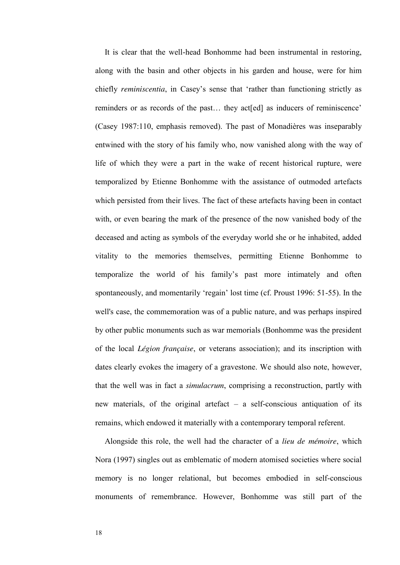It is clear that the well-head Bonhomme had been instrumental in restoring, along with the basin and other objects in his garden and house, were for him chiefly *reminiscentia*, in Casey's sense that 'rather than functioning strictly as reminders or as records of the past... they act [ed] as inducers of reminiscence' (Casey 1987:110, emphasis removed). The past of Monadières was inseparably entwined with the story of his family who, now vanished along with the way of life of which they were a part in the wake of recent historical rupture, were temporalized by Etienne Bonhomme with the assistance of outmoded artefacts which persisted from their lives. The fact of these artefacts having been in contact with, or even bearing the mark of the presence of the now vanished body of the deceased and acting as symbols of the everyday world she or he inhabited, added vitality to the memories themselves, permitting Etienne Bonhomme to temporalize the world of his family's past more intimately and often spontaneously, and momentarily 'regain' lost time (cf. Proust 1996: 51-55). In the well's case, the commemoration was of a public nature, and was perhaps inspired by other public monuments such as war memorials (Bonhomme was the president of the local *Légion française*, or veterans association); and its inscription with dates clearly evokes the imagery of a gravestone. We should also note, however, that the well was in fact a *simulacrum*, comprising a reconstruction, partly with new materials, of the original artefact – a self-conscious antiquation of its remains, which endowed it materially with a contemporary temporal referent.

 Alongside this role, the well had the character of a *lieu de mémoire*, which Nora (1997) singles out as emblematic of modern atomised societies where social memory is no longer relational, but becomes embodied in self-conscious monuments of remembrance. However, Bonhomme was still part of the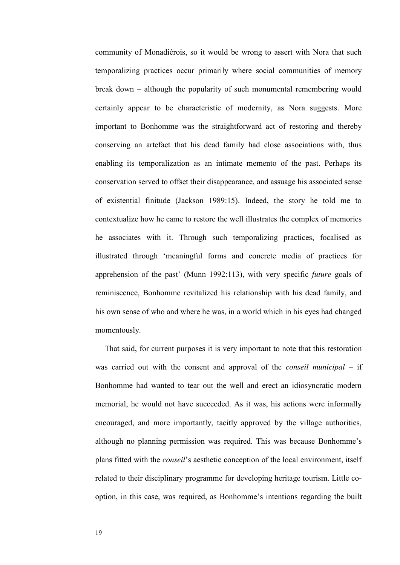community of Monadièrois, so it would be wrong to assert with Nora that such temporalizing practices occur primarily where social communities of memory break down – although the popularity of such monumental remembering would certainly appear to be characteristic of modernity, as Nora suggests. More important to Bonhomme was the straightforward act of restoring and thereby conserving an artefact that his dead family had close associations with, thus enabling its temporalization as an intimate memento of the past. Perhaps its conservation served to offset their disappearance, and assuage his associated sense of existential finitude (Jackson 1989:15). Indeed, the story he told me to contextualize how he came to restore the well illustrates the complex of memories he associates with it. Through such temporalizing practices, focalised as illustrated through 'meaningful forms and concrete media of practices for apprehension of the past' (Munn 1992:113), with very specific *future* goals of reminiscence, Bonhomme revitalized his relationship with his dead family, and his own sense of who and where he was, in a world which in his eyes had changed momentously.

 That said, for current purposes it is very important to note that this restoration was carried out with the consent and approval of the *conseil municipal* – if Bonhomme had wanted to tear out the well and erect an idiosyncratic modern memorial, he would not have succeeded. As it was, his actions were informally encouraged, and more importantly, tacitly approved by the village authorities, although no planning permission was required. This was because Bonhomme's plans fitted with the *conseil*'s aesthetic conception of the local environment, itself related to their disciplinary programme for developing heritage tourism. Little cooption, in this case, was required, as Bonhomme's intentions regarding the built

19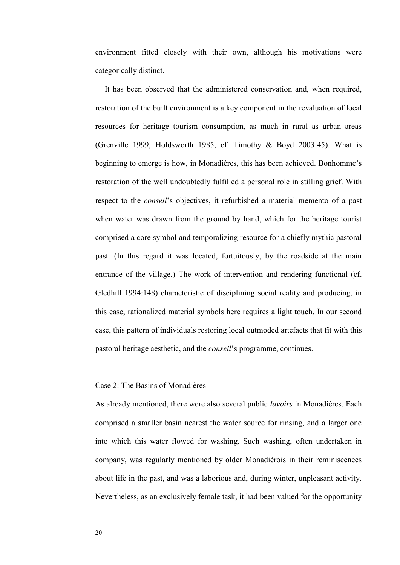environment fitted closely with their own, although his motivations were categorically distinct.

 It has been observed that the administered conservation and, when required, restoration of the built environment is a key component in the revaluation of local resources for heritage tourism consumption, as much in rural as urban areas (Grenville 1999, Holdsworth 1985, cf. Timothy & Boyd 2003:45). What is beginning to emerge is how, in Monadières, this has been achieved. Bonhomme's restoration of the well undoubtedly fulfilled a personal role in stilling grief. With respect to the *conseil*'s objectives, it refurbished a material memento of a past when water was drawn from the ground by hand, which for the heritage tourist comprised a core symbol and temporalizing resource for a chiefly mythic pastoral past. (In this regard it was located, fortuitously, by the roadside at the main entrance of the village.) The work of intervention and rendering functional (cf. Gledhill 1994:148) characteristic of disciplining social reality and producing, in this case, rationalized material symbols here requires a light touch. In our second case, this pattern of individuals restoring local outmoded artefacts that fit with this pastoral heritage aesthetic, and the *conseil*'s programme, continues.

#### Case 2: The Basins of Monadières

As already mentioned, there were also several public *lavoirs* in Monadières. Each comprised a smaller basin nearest the water source for rinsing, and a larger one into which this water flowed for washing. Such washing, often undertaken in company, was regularly mentioned by older Monadièrois in their reminiscences about life in the past, and was a laborious and, during winter, unpleasant activity. Nevertheless, as an exclusively female task, it had been valued for the opportunity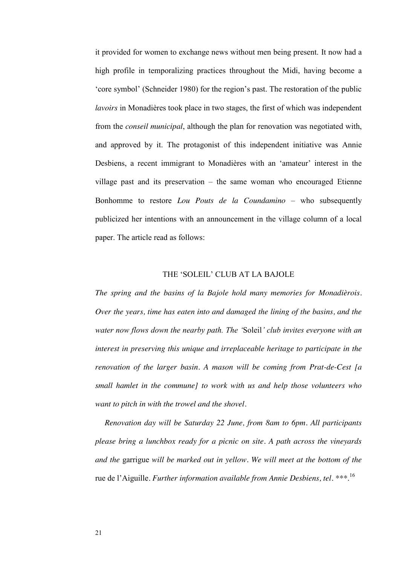it provided for women to exchange news without men being present. It now had a high profile in temporalizing practices throughout the Midi, having become a 'core symbol' (Schneider 1980) for the region's past. The restoration of the public *lavoirs* in Monadières took place in two stages, the first of which was independent from the *conseil municipal*, although the plan for renovation was negotiated with, and approved by it. The protagonist of this independent initiative was Annie Desbiens, a recent immigrant to Monadières with an 'amateur' interest in the village past and its preservation – the same woman who encouraged Etienne Bonhomme to restore *Lou Pouts de la Coundamino* – who subsequently publicized her intentions with an announcement in the village column of a local paper. The article read as follows:

#### THE 'SOLEIL' CLUB AT LA BAJOLE

*The spring and the basins of la Bajole hold many memories for Monadièrois. Over the years, time has eaten into and damaged the lining of the basins, and the water now flows down the nearby path. The '*Soleil*' club invites everyone with an interest in preserving this unique and irreplaceable heritage to participate in the renovation of the larger basin. A mason will be coming from Prat-de-Cest [a small hamlet in the commune] to work with us and help those volunteers who want to pitch in with the trowel and the shovel.* 

 *Renovation day will be Saturday 22 June, from 8am to 6pm. All participants please bring a lunchbox ready for a picnic on site. A path across the vineyards and the* garrigue *will be marked out in yellow. We will meet at the bottom of the*  rue de l'Aiguille*. Further information available from Annie Desbiens, tel. \*\*\**. 16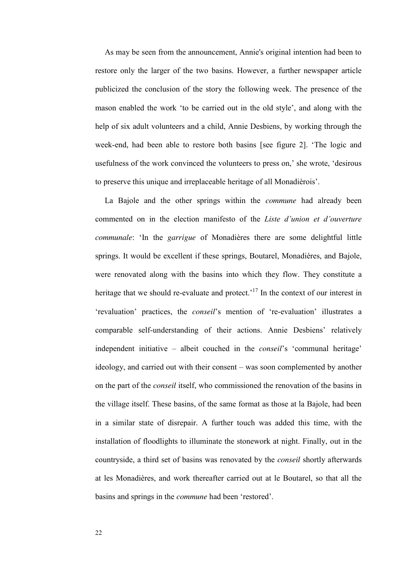As may be seen from the announcement, Annie's original intention had been to restore only the larger of the two basins. However, a further newspaper article publicized the conclusion of the story the following week. The presence of the mason enabled the work 'to be carried out in the old style', and along with the help of six adult volunteers and a child, Annie Desbiens, by working through the week-end, had been able to restore both basins [see figure 2]. 'The logic and usefulness of the work convinced the volunteers to press on,' she wrote, 'desirous to preserve this unique and irreplaceable heritage of all Monadièrois'.

 La Bajole and the other springs within the *commune* had already been commented on in the election manifesto of the *Liste d'union et d'ouverture communale*: 'In the *garrigue* of Monadières there are some delightful little springs. It would be excellent if these springs, Boutarel, Monadières, and Bajole, were renovated along with the basins into which they flow. They constitute a heritage that we should re-evaluate and protect.<sup>17</sup> In the context of our interest in 'revaluation' practices, the *conseil*'s mention of 're-evaluation' illustrates a comparable self-understanding of their actions. Annie Desbiens' relatively independent initiative – albeit couched in the *conseil*'s 'communal heritage' ideology, and carried out with their consent – was soon complemented by another on the part of the *conseil* itself, who commissioned the renovation of the basins in the village itself. These basins, of the same format as those at la Bajole, had been in a similar state of disrepair. A further touch was added this time, with the installation of floodlights to illuminate the stonework at night. Finally, out in the countryside, a third set of basins was renovated by the *conseil* shortly afterwards at les Monadières, and work thereafter carried out at le Boutarel, so that all the basins and springs in the *commune* had been 'restored'.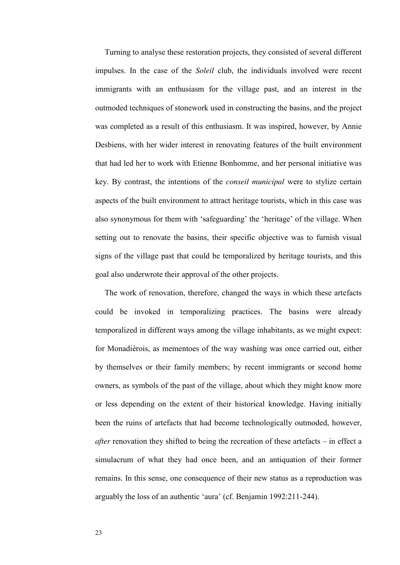Turning to analyse these restoration projects, they consisted of several different impulses. In the case of the *Soleil* club, the individuals involved were recent immigrants with an enthusiasm for the village past, and an interest in the outmoded techniques of stonework used in constructing the basins, and the project was completed as a result of this enthusiasm. It was inspired, however, by Annie Desbiens, with her wider interest in renovating features of the built environment that had led her to work with Etienne Bonhomme, and her personal initiative was key. By contrast, the intentions of the *conseil municipal* were to stylize certain aspects of the built environment to attract heritage tourists, which in this case was also synonymous for them with 'safeguarding' the 'heritage' of the village. When setting out to renovate the basins, their specific objective was to furnish visual signs of the village past that could be temporalized by heritage tourists, and this goal also underwrote their approval of the other projects.

 The work of renovation, therefore, changed the ways in which these artefacts could be invoked in temporalizing practices. The basins were already temporalized in different ways among the village inhabitants, as we might expect: for Monadièrois, as mementoes of the way washing was once carried out, either by themselves or their family members; by recent immigrants or second home owners, as symbols of the past of the village, about which they might know more or less depending on the extent of their historical knowledge. Having initially been the ruins of artefacts that had become technologically outmoded, however, *after* renovation they shifted to being the recreation of these artefacts – in effect a simulacrum of what they had once been, and an antiquation of their former remains. In this sense, one consequence of their new status as a reproduction was arguably the loss of an authentic 'aura' (cf. Benjamin 1992:211-244).

23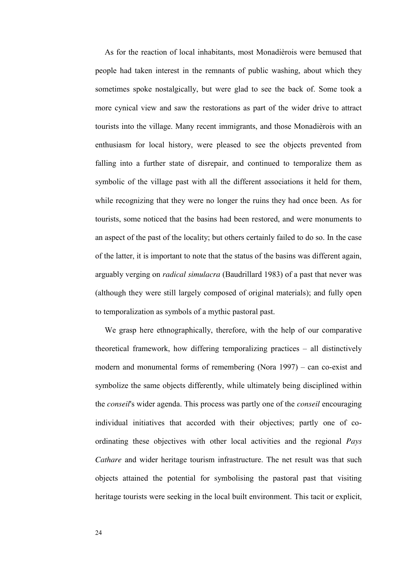As for the reaction of local inhabitants, most Monadièrois were bemused that people had taken interest in the remnants of public washing, about which they sometimes spoke nostalgically, but were glad to see the back of. Some took a more cynical view and saw the restorations as part of the wider drive to attract tourists into the village. Many recent immigrants, and those Monadièrois with an enthusiasm for local history, were pleased to see the objects prevented from falling into a further state of disrepair, and continued to temporalize them as symbolic of the village past with all the different associations it held for them, while recognizing that they were no longer the ruins they had once been. As for tourists, some noticed that the basins had been restored, and were monuments to an aspect of the past of the locality; but others certainly failed to do so. In the case of the latter, it is important to note that the status of the basins was different again, arguably verging on *radical simulacra* (Baudrillard 1983) of a past that never was (although they were still largely composed of original materials); and fully open to temporalization as symbols of a mythic pastoral past.

 We grasp here ethnographically, therefore, with the help of our comparative theoretical framework, how differing temporalizing practices – all distinctively modern and monumental forms of remembering (Nora 1997) – can co-exist and symbolize the same objects differently, while ultimately being disciplined within the *conseil*'s wider agenda. This process was partly one of the *conseil* encouraging individual initiatives that accorded with their objectives; partly one of coordinating these objectives with other local activities and the regional *Pays Cathare* and wider heritage tourism infrastructure. The net result was that such objects attained the potential for symbolising the pastoral past that visiting heritage tourists were seeking in the local built environment. This tacit or explicit,

24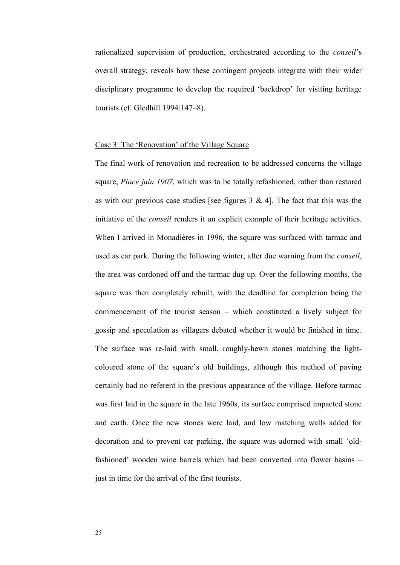rationalized supervision of production, orchestrated according to the *conseil*'s overall strategy, reveals how these contingent projects integrate with their wider disciplinary programme to develop the required 'backdrop' for visiting heritage tourists (cf. Gledhill 1994:147–8).

#### Case 3: The 'Renovation' of the Village Square

The final work of renovation and recreation to be addressed concerns the village square, *Place juin 1907*, which was to be totally refashioned, rather than restored as with our previous case studies [see figures  $3 \& 4$ ]. The fact that this was the initiative of the *conseil* renders it an explicit example of their heritage activities. When I arrived in Monadières in 1996, the square was surfaced with tarmac and used as car park. During the following winter, after due warning from the *conseil*, the area was cordoned off and the tarmac dug up. Over the following months, the square was then completely rebuilt, with the deadline for completion being the commencement of the tourist season – which constituted a lively subject for gossip and speculation as villagers debated whether it would be finished in time. The surface was re-laid with small, roughly-hewn stones matching the lightcoloured stone of the square's old buildings, although this method of paving certainly had no referent in the previous appearance of the village. Before tarmac was first laid in the square in the late 1960s, its surface comprised impacted stone and earth. Once the new stones were laid, and low matching walls added for decoration and to prevent car parking, the square was adorned with small 'oldfashioned' wooden wine barrels which had been converted into flower basins – just in time for the arrival of the first tourists.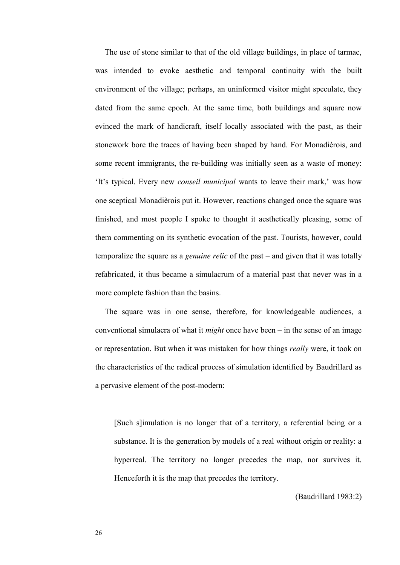The use of stone similar to that of the old village buildings, in place of tarmac, was intended to evoke aesthetic and temporal continuity with the built environment of the village; perhaps, an uninformed visitor might speculate, they dated from the same epoch. At the same time, both buildings and square now evinced the mark of handicraft, itself locally associated with the past, as their stonework bore the traces of having been shaped by hand. For Monadièrois, and some recent immigrants, the re-building was initially seen as a waste of money: 'It's typical. Every new *conseil municipal* wants to leave their mark,' was how one sceptical Monadièrois put it. However, reactions changed once the square was finished, and most people I spoke to thought it aesthetically pleasing, some of them commenting on its synthetic evocation of the past. Tourists, however, could temporalize the square as a *genuine relic* of the past – and given that it was totally refabricated, it thus became a simulacrum of a material past that never was in a more complete fashion than the basins.

 The square was in one sense, therefore, for knowledgeable audiences, a conventional simulacra of what it *might* once have been – in the sense of an image or representation. But when it was mistaken for how things *really* were, it took on the characteristics of the radical process of simulation identified by Baudrillard as a pervasive element of the post-modern:

[Such s]imulation is no longer that of a territory, a referential being or a substance. It is the generation by models of a real without origin or reality: a hyperreal. The territory no longer precedes the map, nor survives it. Henceforth it is the map that precedes the territory.

(Baudrillard 1983:2)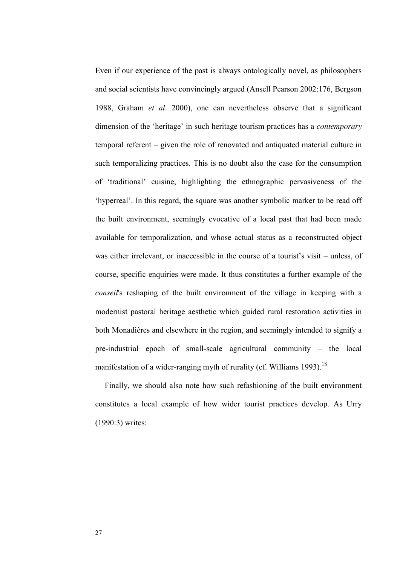Even if our experience of the past is always ontologically novel, as philosophers and social scientists have convincingly argued (Ansell Pearson 2002:176, Bergson 1988, Graham *et al*. 2000), one can nevertheless observe that a significant dimension of the 'heritage' in such heritage tourism practices has a *contemporary*  temporal referent – given the role of renovated and antiquated material culture in such temporalizing practices. This is no doubt also the case for the consumption of 'traditional' cuisine, highlighting the ethnographic pervasiveness of the 'hyperreal'. In this regard, the square was another symbolic marker to be read off the built environment, seemingly evocative of a local past that had been made available for temporalization, and whose actual status as a reconstructed object was either irrelevant, or inaccessible in the course of a tourist's visit – unless, of course, specific enquiries were made. It thus constitutes a further example of the *conseil*'s reshaping of the built environment of the village in keeping with a modernist pastoral heritage aesthetic which guided rural restoration activities in both Monadières and elsewhere in the region, and seemingly intended to signify a pre-industrial epoch of small-scale agricultural community – the local manifestation of a wider-ranging myth of rurality (cf. Williams 1993).<sup>18</sup>

 Finally, we should also note how such refashioning of the built environment constitutes a local example of how wider tourist practices develop. As Urry (1990:3) writes: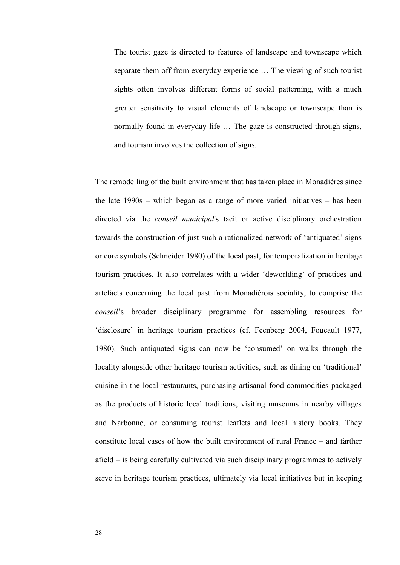The tourist gaze is directed to features of landscape and townscape which separate them off from everyday experience … The viewing of such tourist sights often involves different forms of social patterning, with a much greater sensitivity to visual elements of landscape or townscape than is normally found in everyday life ... The gaze is constructed through signs, and tourism involves the collection of signs.

The remodelling of the built environment that has taken place in Monadières since the late 1990s – which began as a range of more varied initiatives – has been directed via the *conseil municipal*'s tacit or active disciplinary orchestration towards the construction of just such a rationalized network of 'antiquated' signs or core symbols (Schneider 1980) of the local past, for temporalization in heritage tourism practices. It also correlates with a wider 'deworlding' of practices and artefacts concerning the local past from Monadièrois sociality, to comprise the *conseil*'s broader disciplinary programme for assembling resources for 'disclosure' in heritage tourism practices (cf. Feenberg 2004, Foucault 1977, 1980). Such antiquated signs can now be 'consumed' on walks through the locality alongside other heritage tourism activities, such as dining on 'traditional' cuisine in the local restaurants, purchasing artisanal food commodities packaged as the products of historic local traditions, visiting museums in nearby villages and Narbonne, or consuming tourist leaflets and local history books. They constitute local cases of how the built environment of rural France – and farther afield – is being carefully cultivated via such disciplinary programmes to actively serve in heritage tourism practices, ultimately via local initiatives but in keeping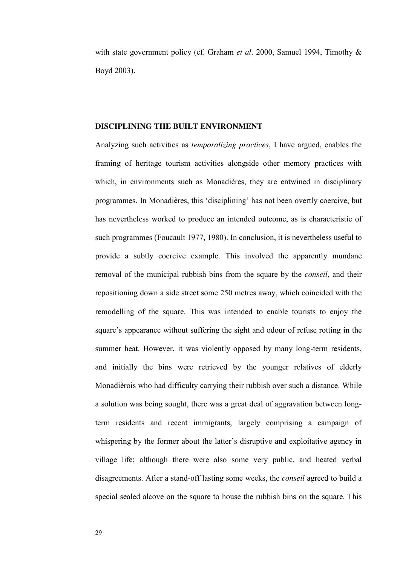with state government policy (cf. Graham *et al*. 2000, Samuel 1994, Timothy & Boyd 2003).

#### **DISCIPLINING THE BUILT ENVIRONMENT**

Analyzing such activities as *temporalizing practices*, I have argued, enables the framing of heritage tourism activities alongside other memory practices with which, in environments such as Monadières, they are entwined in disciplinary programmes. In Monadières, this 'disciplining' has not been overtly coercive, but has nevertheless worked to produce an intended outcome, as is characteristic of such programmes (Foucault 1977, 1980). In conclusion, it is nevertheless useful to provide a subtly coercive example. This involved the apparently mundane removal of the municipal rubbish bins from the square by the *conseil*, and their repositioning down a side street some 250 metres away, which coincided with the remodelling of the square. This was intended to enable tourists to enjoy the square's appearance without suffering the sight and odour of refuse rotting in the summer heat. However, it was violently opposed by many long-term residents, and initially the bins were retrieved by the younger relatives of elderly Monadièrois who had difficulty carrying their rubbish over such a distance. While a solution was being sought, there was a great deal of aggravation between longterm residents and recent immigrants, largely comprising a campaign of whispering by the former about the latter's disruptive and exploitative agency in village life; although there were also some very public, and heated verbal disagreements. After a stand-off lasting some weeks, the *conseil* agreed to build a special sealed alcove on the square to house the rubbish bins on the square. This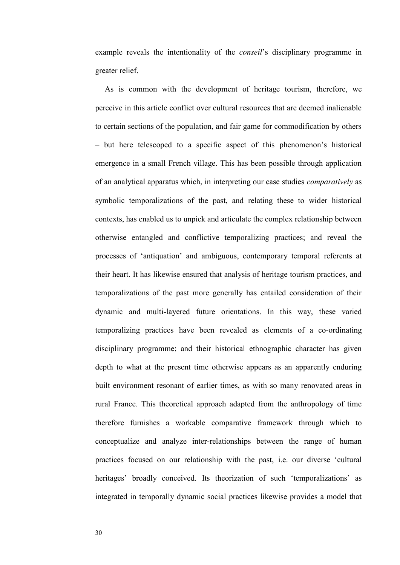example reveals the intentionality of the *conseil*'s disciplinary programme in greater relief.

As is common with the development of heritage tourism, therefore, we perceive in this article conflict over cultural resources that are deemed inalienable to certain sections of the population, and fair game for commodification by others – but here telescoped to a specific aspect of this phenomenon's historical emergence in a small French village. This has been possible through application of an analytical apparatus which, in interpreting our case studies *comparatively* as symbolic temporalizations of the past, and relating these to wider historical contexts, has enabled us to unpick and articulate the complex relationship between otherwise entangled and conflictive temporalizing practices; and reveal the processes of 'antiquation' and ambiguous, contemporary temporal referents at their heart. It has likewise ensured that analysis of heritage tourism practices, and temporalizations of the past more generally has entailed consideration of their dynamic and multi-layered future orientations. In this way, these varied temporalizing practices have been revealed as elements of a co-ordinating disciplinary programme; and their historical ethnographic character has given depth to what at the present time otherwise appears as an apparently enduring built environment resonant of earlier times, as with so many renovated areas in rural France. This theoretical approach adapted from the anthropology of time therefore furnishes a workable comparative framework through which to conceptualize and analyze inter-relationships between the range of human practices focused on our relationship with the past, i.e. our diverse 'cultural heritages' broadly conceived. Its theorization of such 'temporalizations' as integrated in temporally dynamic social practices likewise provides a model that

30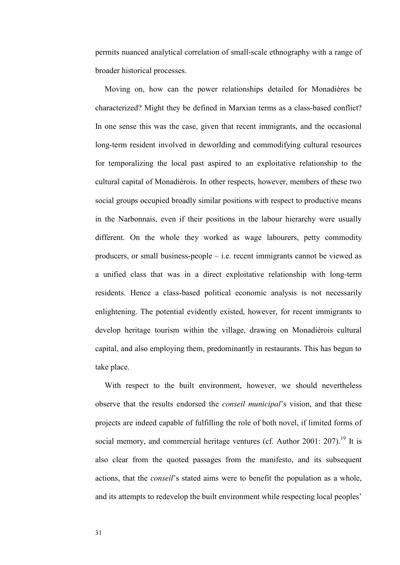permits nuanced analytical correlation of small-scale ethnography with a range of broader historical processes.

 Moving on, how can the power relationships detailed for Monadières be characterized? Might they be defined in Marxian terms as a class-based conflict? In one sense this was the case, given that recent immigrants, and the occasional long-term resident involved in deworlding and commodifying cultural resources for temporalizing the local past aspired to an exploitative relationship to the cultural capital of Monadièrois. In other respects, however, members of these two social groups occupied broadly similar positions with respect to productive means in the Narbonnais, even if their positions in the labour hierarchy were usually different. On the whole they worked as wage labourers, petty commodity producers, or small business-people – i.e. recent immigrants cannot be viewed as a unified class that was in a direct exploitative relationship with long-term residents. Hence a class-based political economic analysis is not necessarily enlightening. The potential evidently existed, however, for recent immigrants to develop heritage tourism within the village, drawing on Monadièrois cultural capital, and also employing them, predominantly in restaurants. This has begun to take place.

 With respect to the built environment, however, we should nevertheless observe that the results endorsed the *conseil municipal*'s vision, and that these projects are indeed capable of fulfilling the role of both novel, if limited forms of social memory, and commercial heritage ventures (cf. Author 2001: 207).<sup>19</sup> It is also clear from the quoted passages from the manifesto, and its subsequent actions, that the *conseil*'s stated aims were to benefit the population as a whole, and its attempts to redevelop the built environment while respecting local peoples'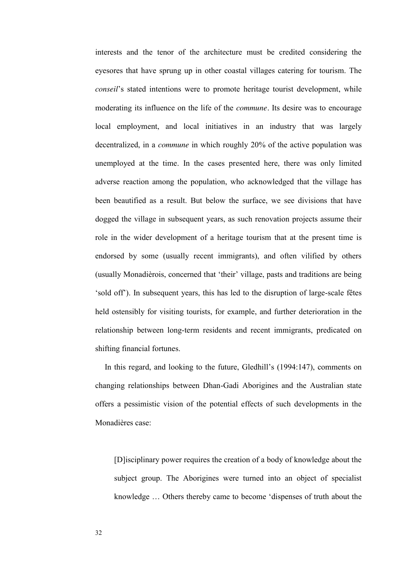interests and the tenor of the architecture must be credited considering the eyesores that have sprung up in other coastal villages catering for tourism. The *conseil*'s stated intentions were to promote heritage tourist development, while moderating its influence on the life of the *commune.* Its desire was to encourage local employment, and local initiatives in an industry that was largely decentralized, in a *commune* in which roughly 20% of the active population was unemployed at the time. In the cases presented here, there was only limited adverse reaction among the population, who acknowledged that the village has been beautified as a result. But below the surface, we see divisions that have dogged the village in subsequent years, as such renovation projects assume their role in the wider development of a heritage tourism that at the present time is endorsed by some (usually recent immigrants), and often vilified by others (usually Monadièrois, concerned that 'their' village, pasts and traditions are being 'sold off'). In subsequent years, this has led to the disruption of large-scale fêtes held ostensibly for visiting tourists, for example, and further deterioration in the relationship between long-term residents and recent immigrants, predicated on shifting financial fortunes.

 In this regard, and looking to the future, Gledhill's (1994:147), comments on changing relationships between Dhan-Gadi Aborigines and the Australian state offers a pessimistic vision of the potential effects of such developments in the Monadières case:

[D]isciplinary power requires the creation of a body of knowledge about the subject group. The Aborigines were turned into an object of specialist knowledge … Others thereby came to become 'dispenses of truth about the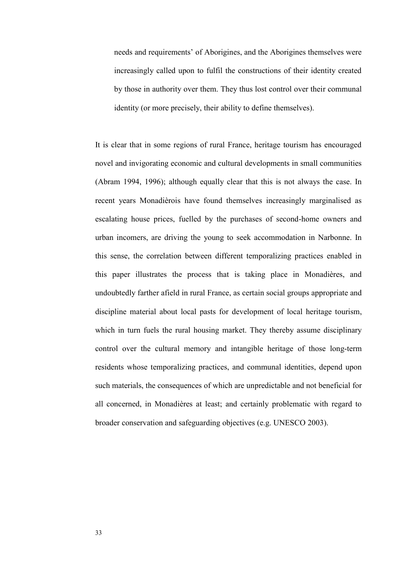needs and requirements' of Aborigines, and the Aborigines themselves were increasingly called upon to fulfil the constructions of their identity created by those in authority over them. They thus lost control over their communal identity (or more precisely, their ability to define themselves).

It is clear that in some regions of rural France, heritage tourism has encouraged novel and invigorating economic and cultural developments in small communities (Abram 1994, 1996); although equally clear that this is not always the case. In recent years Monadièrois have found themselves increasingly marginalised as escalating house prices, fuelled by the purchases of second-home owners and urban incomers, are driving the young to seek accommodation in Narbonne. In this sense, the correlation between different temporalizing practices enabled in this paper illustrates the process that is taking place in Monadières, and undoubtedly farther afield in rural France, as certain social groups appropriate and discipline material about local pasts for development of local heritage tourism, which in turn fuels the rural housing market. They thereby assume disciplinary control over the cultural memory and intangible heritage of those long-term residents whose temporalizing practices, and communal identities, depend upon such materials, the consequences of which are unpredictable and not beneficial for all concerned, in Monadières at least; and certainly problematic with regard to broader conservation and safeguarding objectives (e.g. UNESCO 2003).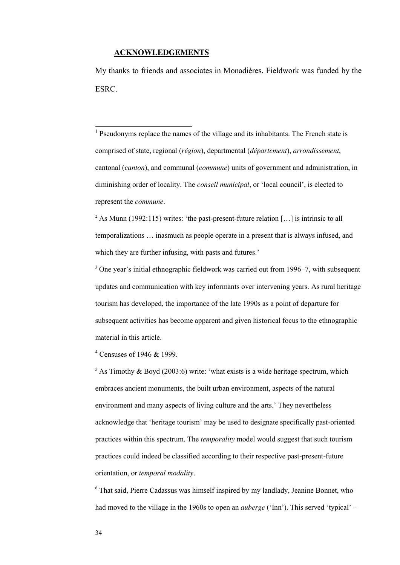#### **ACKNOWLEDGEMENTS**

-

My thanks to friends and associates in Monadières. Fieldwork was funded by the ESRC.

<sup>1</sup> Pseudonyms replace the names of the village and its inhabitants. The French state is comprised of state, regional (*région*), departmental (*département*), *arrondissement*, cantonal (*canton*), and communal (*commune*) units of government and administration, in diminishing order of locality. The *conseil municipal*, or 'local council', is elected to represent the *commune*.

<sup>2</sup> As Munn (1992:115) writes: 'the past-present-future relation [...] is intrinsic to all temporalizations … inasmuch as people operate in a present that is always infused, and which they are further infusing, with pasts and futures.'

 $3$  One year's initial ethnographic fieldwork was carried out from 1996–7, with subsequent updates and communication with key informants over intervening years. As rural heritage tourism has developed, the importance of the late 1990s as a point of departure for subsequent activities has become apparent and given historical focus to the ethnographic material in this article.

4 Censuses of 1946 & 1999.

 $5$  As Timothy & Boyd (2003:6) write: 'what exists is a wide heritage spectrum, which embraces ancient monuments, the built urban environment, aspects of the natural environment and many aspects of living culture and the arts.' They nevertheless acknowledge that 'heritage tourism' may be used to designate specifically past-oriented practices within this spectrum. The *temporality* model would suggest that such tourism practices could indeed be classified according to their respective past-present-future orientation, or *temporal modality*.

<sup>6</sup> That said, Pierre Cadassus was himself inspired by my landlady, Jeanine Bonnet, who had moved to the village in the 1960s to open an *auberge* ('Inn'). This served 'typical' –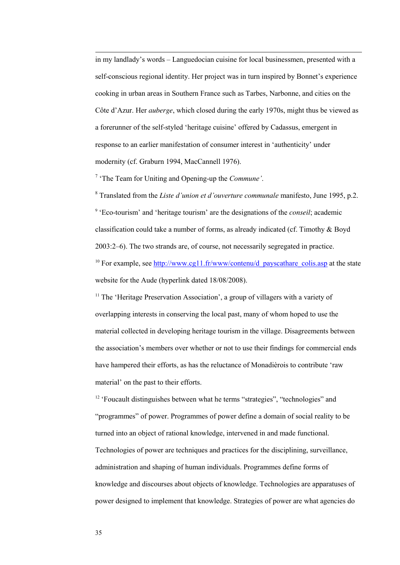in my landlady's words – Languedocian cuisine for local businessmen, presented with a self-conscious regional identity. Her project was in turn inspired by Bonnet's experience cooking in urban areas in Southern France such as Tarbes, Narbonne, and cities on the Côte d'Azur. Her *auberge*, which closed during the early 1970s, might thus be viewed as a forerunner of the self-styled 'heritage cuisine' offered by Cadassus, emergent in response to an earlier manifestation of consumer interest in 'authenticity' under modernity (cf. Graburn 1994, MacCannell 1976).

7 'The Team for Uniting and Opening-up the *Commune'*.

8 Translated from the *Liste d'union et d'ouverture communale* manifesto, June 1995, p.2. 9 'Eco-tourism' and 'heritage tourism' are the designations of the *conseil*; academic classification could take a number of forms, as already indicated (cf. Timothy  $&$  Boyd 2003:2–6). The two strands are, of course, not necessarily segregated in practice. <sup>10</sup> For example, see [http://www.cg11.fr/www/contenu/d\\_payscathare\\_colis.asp](http://www.cg11.fr/www/contenu/d_payscathare_colis.asp) at the state website for the Aude (hyperlink dated 18/08/2008).

<sup>11</sup> The 'Heritage Preservation Association', a group of villagers with a variety of overlapping interests in conserving the local past, many of whom hoped to use the material collected in developing heritage tourism in the village. Disagreements between the association's members over whether or not to use their findings for commercial ends have hampered their efforts, as has the reluctance of Monadièrois to contribute 'raw material' on the past to their efforts.

<sup>12</sup> 'Foucault distinguishes between what he terms "strategies", "technologies" and "programmes" of power. Programmes of power define a domain of social reality to be turned into an object of rational knowledge, intervened in and made functional. Technologies of power are techniques and practices for the disciplining, surveillance, administration and shaping of human individuals. Programmes define forms of knowledge and discourses about objects of knowledge. Technologies are apparatuses of power designed to implement that knowledge. Strategies of power are what agencies do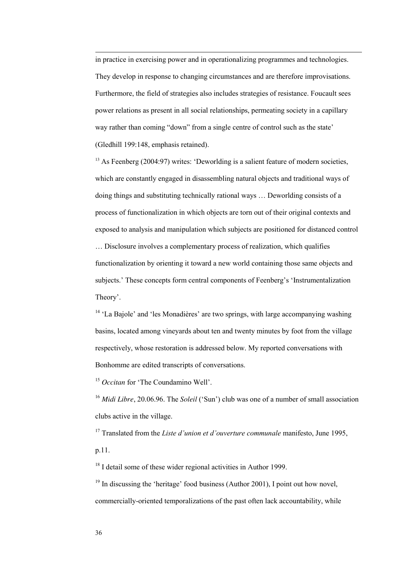in practice in exercising power and in operationalizing programmes and technologies. They develop in response to changing circumstances and are therefore improvisations. Furthermore, the field of strategies also includes strategies of resistance. Foucault sees power relations as present in all social relationships, permeating society in a capillary way rather than coming "down" from a single centre of control such as the state' (Gledhill 199:148, emphasis retained).

<sup>13</sup> As Feenberg (2004:97) writes: 'Deworlding is a salient feature of modern societies, which are constantly engaged in disassembling natural objects and traditional ways of doing things and substituting technically rational ways … Deworlding consists of a process of functionalization in which objects are torn out of their original contexts and exposed to analysis and manipulation which subjects are positioned for distanced control

… Disclosure involves a complementary process of realization, which qualifies functionalization by orienting it toward a new world containing those same objects and subjects.' These concepts form central components of Feenberg's 'Instrumentalization Theory'.

 $14$  'La Bajole' and 'les Monadières' are two springs, with large accompanying washing basins, located among vineyards about ten and twenty minutes by foot from the village respectively, whose restoration is addressed below. My reported conversations with Bonhomme are edited transcripts of conversations.

<sup>15</sup> *Occitan* for 'The Coundamino Well'.

<sup>16</sup> *Midi Libre*, 20.06.96. The *Soleil* ('Sun') club was one of a number of small association clubs active in the village.

<sup>17</sup> Translated from the *Liste d'union et d'ouverture communale* manifesto, June 1995, p.11.

<sup>18</sup> I detail some of these wider regional activities in Author 1999.

 $19$  In discussing the 'heritage' food business (Author 2001), I point out how novel, commercially-oriented temporalizations of the past often lack accountability, while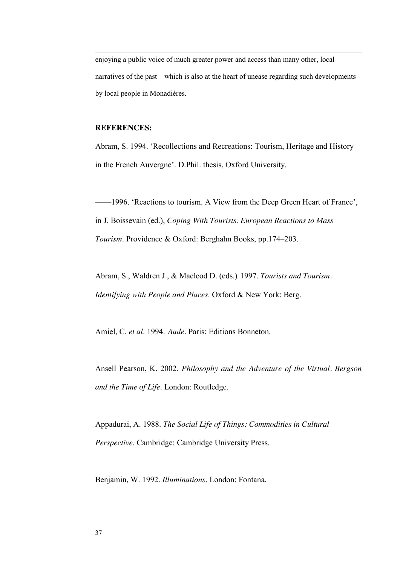enjoying a public voice of much greater power and access than many other, local narratives of the past – which is also at the heart of unease regarding such developments by local people in Monadières.

#### **REFERENCES:**

-

Abram, S. 1994. 'Recollections and Recreations: Tourism, Heritage and History in the French Auvergne'. D.Phil. thesis, Oxford University.

——1996. 'Reactions to tourism. A View from the Deep Green Heart of France', in J. Boissevain (ed.), *Coping With Tourists. European Reactions to Mass Tourism*. Providence & Oxford: Berghahn Books, pp.174–203.

Abram, S., Waldren J., & Macleod D. (eds.) 1997. *Tourists and Tourism. Identifying with People and Places*. Oxford & New York: Berg.

Amiel, C. *et al*. 1994. *Aude*. Paris: Editions Bonneton.

Ansell Pearson, K. 2002. *Philosophy and the Adventure of the Virtual. Bergson and the Time of Life*. London: Routledge.

Appadurai, A. 1988. *The Social Life of Things: Commodities in Cultural Perspective*. Cambridge: Cambridge University Press.

Benjamin, W. 1992. *Illuminations*. London: Fontana.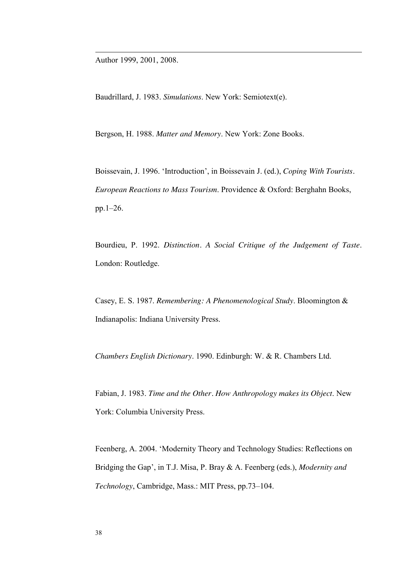Author 1999, 2001, 2008.

-

Baudrillard, J. 1983. *Simulations*. New York: Semiotext(e).

Bergson, H. 1988. *Matter and Memory*. New York: Zone Books.

Boissevain, J. 1996. 'Introduction', in Boissevain J. (ed.), *Coping With Tourists. European Reactions to Mass Tourism*. Providence & Oxford: Berghahn Books, pp.1–26.

Bourdieu, P. 1992. *Distinction. A Social Critique of the Judgement of Taste*. London: Routledge.

Casey, E. S. 1987. *Remembering: A Phenomenological Study*. Bloomington & Indianapolis: Indiana University Press.

*Chambers English Dictionary*. 1990. Edinburgh: W. & R. Chambers Ltd.

Fabian, J. 1983. *Time and the Other. How Anthropology makes its Object*. New York: Columbia University Press.

Feenberg, A. 2004. 'Modernity Theory and Technology Studies: Reflections on Bridging the Gap', in T.J. Misa, P. Bray & A. Feenberg (eds.), *Modernity and Technology*, Cambridge, Mass.: MIT Press, pp.73–104.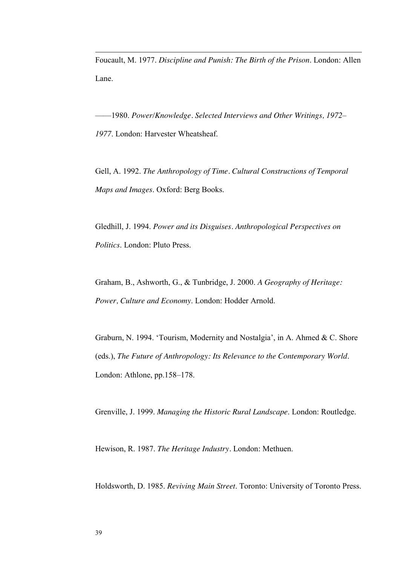Foucault, M. 1977. *Discipline and Punish: The Birth of the Prison*. London: Allen Lane.

——1980. *Power/Knowledge. Selected Interviews and Other Writings, 1972– 1977*. London: Harvester Wheatsheaf.

Gell, A. 1992. *The Anthropology of Time. Cultural Constructions of Temporal Maps and Images*. Oxford: Berg Books.

Gledhill, J. 1994. *Power and its Disguises. Anthropological Perspectives on Politics*. London: Pluto Press.

Graham, B., Ashworth, G., & Tunbridge, J. 2000. *A Geography of Heritage: Power, Culture and Economy*. London: Hodder Arnold.

Graburn, N. 1994. 'Tourism, Modernity and Nostalgia', in A. Ahmed & C. Shore (eds.), *The Future of Anthropology: Its Relevance to the Contemporary World*. London: Athlone, pp.158–178.

Grenville, J. 1999. *Managing the Historic Rural Landscape*. London: Routledge.

Hewison, R. 1987. *The Heritage Industry.* London: Methuen.

Holdsworth, D. 1985. *Reviving Main Street*. Toronto: University of Toronto Press.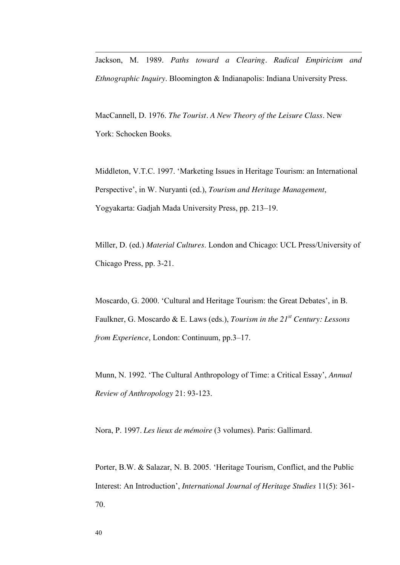Jackson, M. 1989. *Paths toward a Clearing. Radical Empiricism and Ethnographic Inquiry*. Bloomington & Indianapolis: Indiana University Press.

MacCannell, D. 1976. *The Tourist. A New Theory of the Leisure Class*. New York: Schocken Books.

Middleton, V.T.C. 1997. 'Marketing Issues in Heritage Tourism: an International Perspective', in W. Nuryanti (ed.), *Tourism and Heritage Management*, Yogyakarta: Gadjah Mada University Press, pp. 213–19.

Miller, D. (ed.) *Material Cultures*. London and Chicago: UCL Press/University of Chicago Press, pp. 3-21.

Moscardo, G. 2000. 'Cultural and Heritage Tourism: the Great Debates', in B. Faulkner, G. Moscardo & E. Laws (eds.), *Tourism in the 21st Century: Lessons from Experience*, London: Continuum, pp.3–17.

Munn, N. 1992. 'The Cultural Anthropology of Time: a Critical Essay', *Annual Review of Anthropology* 21: 93-123.

Nora, P. 1997. *Les lieux de mémoire* (3 volumes). Paris: Gallimard.

Porter, B.W. & Salazar, N. B. 2005. 'Heritage Tourism, Conflict, and the Public Interest: An Introduction', *International Journal of Heritage Studies* 11(5): 361- 70.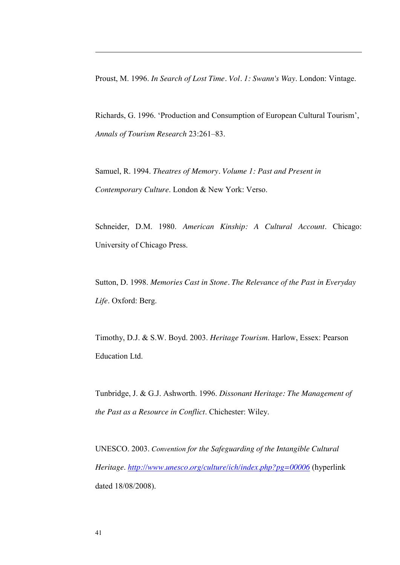Proust, M. 1996. *In Search of Lost Time. Vol. 1: Swann's Way*. London: Vintage.

Richards, G. 1996. 'Production and Consumption of European Cultural Tourism', *Annals of Tourism Research* 23:261–83.

Samuel, R. 1994. *Theatres of Memory. Volume 1: Past and Present in Contemporary Culture*. London & New York: Verso.

Schneider, D.M. 1980. *American Kinship: A Cultural Account*. Chicago: University of Chicago Press.

Sutton, D. 1998. *Memories Cast in Stone. The Relevance of the Past in Everyday Life*. Oxford: Berg.

Timothy, D.J. & S.W. Boyd. 2003. *Heritage Tourism*. Harlow, Essex: Pearson Education Ltd.

Tunbridge, J. & G.J. Ashworth. 1996. *Dissonant Heritage: The Management of the Past as a Resource in Conflict*. Chichester: Wiley.

UNESCO. 2003. *Convention for the Safeguarding of the Intangible Cultural Heritage*. *<http://www.unesco.org/culture/ich/index.php?pg=00006>* (hyperlink dated 18/08/2008).